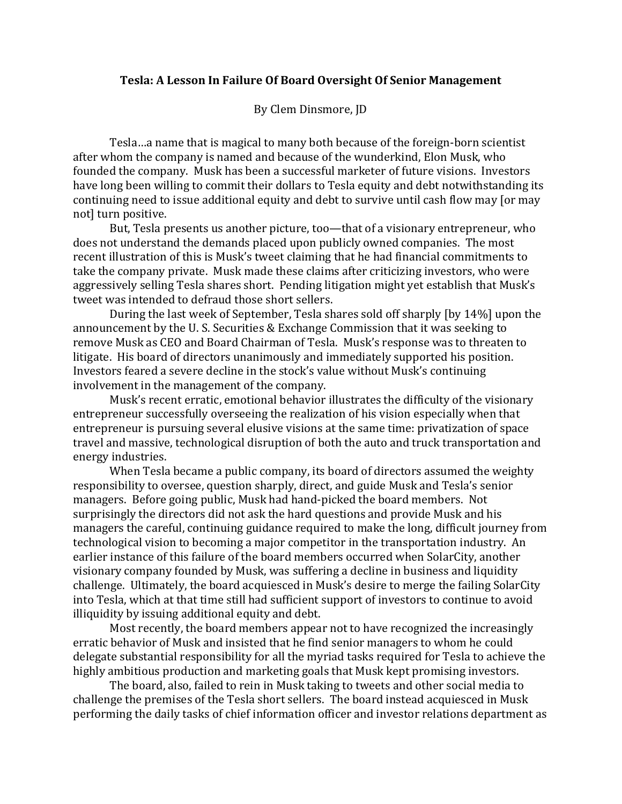## **Tesla: A Lesson In Failure Of Board Oversight Of Senior Management**

By Clem Dinsmore, JD

Tesla…a name that is magical to many both because of the foreign-born scientist after whom the company is named and because of the wunderkind, Elon Musk, who founded the company. Musk has been a successful marketer of future visions. Investors have long been willing to commit their dollars to Tesla equity and debt notwithstanding its continuing need to issue additional equity and debt to survive until cash flow may [or may not] turn positive.

But, Tesla presents us another picture, too—that of a visionary entrepreneur, who does not understand the demands placed upon publicly owned companies. The most recent illustration of this is Musk's tweet claiming that he had financial commitments to take the company private. Musk made these claims after criticizing investors, who were aggressively selling Tesla shares short. Pending litigation might yet establish that Musk's tweet was intended to defraud those short sellers.

During the last week of September, Tesla shares sold off sharply [by 14%] upon the announcement by the U. S. Securities & Exchange Commission that it was seeking to remove Musk as CEO and Board Chairman of Tesla. Musk's response was to threaten to litigate. His board of directors unanimously and immediately supported his position. Investors feared a severe decline in the stock's value without Musk's continuing involvement in the management of the company.

Musk's recent erratic, emotional behavior illustrates the difficulty of the visionary entrepreneur successfully overseeing the realization of his vision especially when that entrepreneur is pursuing several elusive visions at the same time: privatization of space travel and massive, technological disruption of both the auto and truck transportation and energy industries.

When Tesla became a public company, its board of directors assumed the weighty responsibility to oversee, question sharply, direct, and guide Musk and Tesla's senior managers. Before going public, Musk had hand-picked the board members. Not surprisingly the directors did not ask the hard questions and provide Musk and his managers the careful, continuing guidance required to make the long, difficult journey from technological vision to becoming a major competitor in the transportation industry. An earlier instance of this failure of the board members occurred when SolarCity, another visionary company founded by Musk, was suffering a decline in business and liquidity challenge. Ultimately, the board acquiesced in Musk's desire to merge the failing SolarCity into Tesla, which at that time still had sufficient support of investors to continue to avoid illiquidity by issuing additional equity and debt.

Most recently, the board members appear not to have recognized the increasingly erratic behavior of Musk and insisted that he find senior managers to whom he could delegate substantial responsibility for all the myriad tasks required for Tesla to achieve the highly ambitious production and marketing goals that Musk kept promising investors.

The board, also, failed to rein in Musk taking to tweets and other social media to challenge the premises of the Tesla short sellers. The board instead acquiesced in Musk performing the daily tasks of chief information officer and investor relations department as